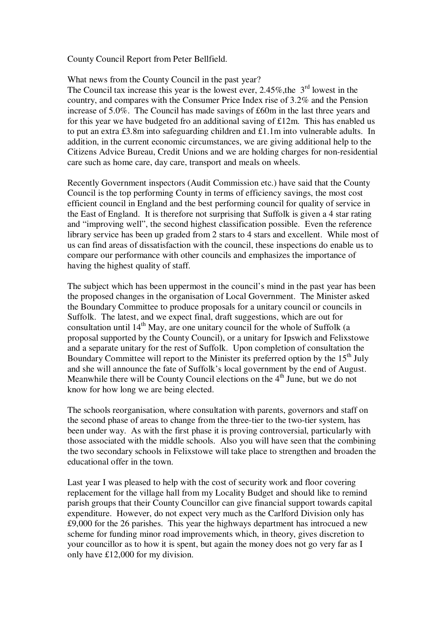County Council Report from Peter Bellfield.

What news from the County Council in the past year?

The Council tax increase this year is the lowest ever,  $2.45\%$ , the  $3<sup>rd</sup>$  lowest in the country, and compares with the Consumer Price Index rise of 3.2% and the Pension increase of 5.0%. The Council has made savings of £60m in the last three years and for this year we have budgeted fro an additional saving of £12m. This has enabled us to put an extra £3.8m into safeguarding children and £1.1m into vulnerable adults. In addition, in the current economic circumstances, we are giving additional help to the Citizens Advice Bureau, Credit Unions and we are holding charges for non-residential care such as home care, day care, transport and meals on wheels.

Recently Government inspectors (Audit Commission etc.) have said that the County Council is the top performing County in terms of efficiency savings, the most cost efficient council in England and the best performing council for quality of service in the East of England. It is therefore not surprising that Suffolk is given a 4 star rating and "improving well", the second highest classification possible. Even the reference library service has been up graded from 2 stars to 4 stars and excellent. While most of us can find areas of dissatisfaction with the council, these inspections do enable us to compare our performance with other councils and emphasizes the importance of having the highest quality of staff.

The subject which has been uppermost in the council's mind in the past year has been the proposed changes in the organisation of Local Government. The Minister asked the Boundary Committee to produce proposals for a unitary council or councils in Suffolk. The latest, and we expect final, draft suggestions, which are out for consultation until  $14<sup>th</sup>$  May, are one unitary council for the whole of Suffolk (a proposal supported by the County Council), or a unitary for Ipswich and Felixstowe and a separate unitary for the rest of Suffolk. Upon completion of consultation the Boundary Committee will report to the Minister its preferred option by the  $15<sup>th</sup>$  July and she will announce the fate of Suffolk's local government by the end of August. Meanwhile there will be County Council elections on the  $4<sup>th</sup>$  June, but we do not know for how long we are being elected.

The schools reorganisation, where consultation with parents, governors and staff on the second phase of areas to change from the three-tier to the two-tier system, has been under way. As with the first phase it is proving controversial, particularly with those associated with the middle schools. Also you will have seen that the combining the two secondary schools in Felixstowe will take place to strengthen and broaden the educational offer in the town.

Last year I was pleased to help with the cost of security work and floor covering replacement for the village hall from my Locality Budget and should like to remind parish groups that their County Councillor can give financial support towards capital expenditure. However, do not expect very much as the Carlford Division only has £9,000 for the 26 parishes. This year the highways department has introcued a new scheme for funding minor road improvements which, in theory, gives discretion to your councillor as to how it is spent, but again the money does not go very far as I only have £12,000 for my division.